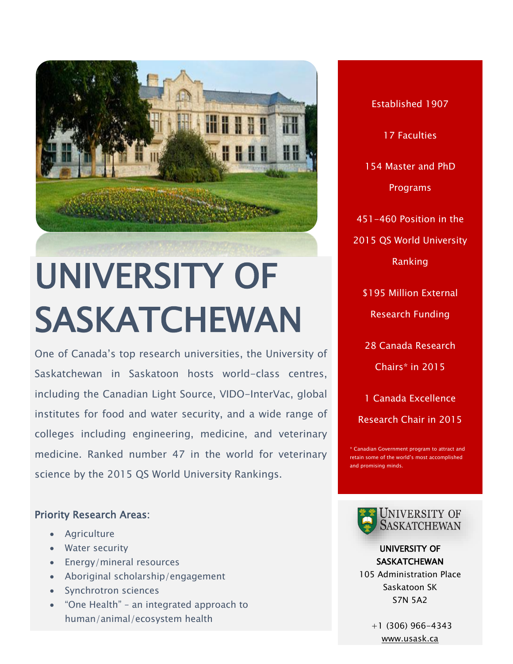

# UNIVERSITY OF SASKATCHEWAN

One of Canada's top research universities, the University of Saskatchewan in Saskatoon hosts world-class centres, including the Canadian Light Source, VIDO-InterVac, global institutes for food and water security, and a wide range of colleges including engineering, medicine, and veterinary medicine. Ranked number 47 in the world for veterinary science by the 2015 QS World University Rankings.

## Priority Research Areas:

- Agriculture
- Water security
- Energy/mineral resources
- Aboriginal scholarship/engagement
- Synchrotron sciences
- "One Health" an integrated approach to human/animal/ecosystem health

Established 1907 17 Faculties 154 Master and PhD Programs 451-460 Position in the 2015 QS World University Ranking \$195 Million External Research Funding 28 Canada Research Chairs\* in 2015 1 Canada Excellence

Research Chair in 2015

Canadian Government program to attract and retain some of the world's most accomplished and promising minds.



UNIVERSITY OF SASKATCHEWAN

105 Administration Place Saskatoon SK S7N 5A2

> +1 (306) 966-4343 [www.usask.ca](file:///C:/Users/Paulo%20Carvalho/Desktop/CALDO%20BROCHURE/www.usask.ca)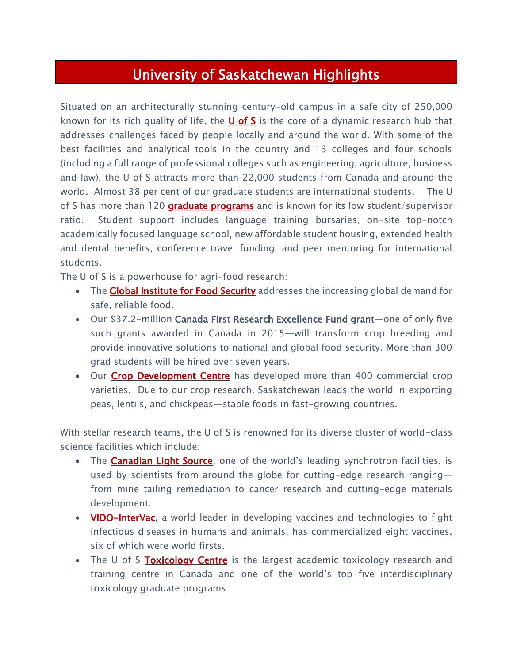## University of Saskatchewan Highlights

Situated on an architecturally stunning century-old campus in a safe city of 250,000 known for its rich quality of life, the  $U$  of S is the core of a dynamic research hub that addresses challenges faced by people locally and around the world. With some of the best facilities and analytical tools in the country and 13 colleges and four schools (including a full range of professional colleges such as engineering, agriculture, business and law), the U of S attracts more than 22,000 students from Canada and around the world. Almost 38 per cent of our graduate students are international students. The U of S has more than 120 [graduate programs](https://www.usask.ca/cgsr/) and is known for its low student/supervisor ratio. Student support includes language training bursaries, on-site top-notch academically focused language school, new affordable student housing, extended health and dental benefits, conference travel funding, and peer mentoring for international students.

The U of S is a powerhouse for agri-food research:

- The [Global Institute for Food Security](http://gifs.ca/) addresses the increasing global demand for safe, reliable food.
- Our \$37.2-million Canada First Research Excellence Fund grant—one of only five such grants awarded in Canada in 2015—will transform crop breeding and provide innovative solutions to national and global food security. More than 300 grad students will be hired over seven years.
- Our [Crop Development Centre](https://agbio.usask.ca/research/centres-facilities/crop-development-centre.php) has developed more than 400 commercial crop varieties. Due to our crop research, Saskatchewan leads the world in exporting peas, lentils, and chickpeas—staple foods in fast-growing countries.

With stellar research teams, the U of S is renowned for its diverse cluster of world-class science facilities which include:

- The **Canadian Light Source**, one of the world's leading synchrotron facilities, is used by scientists from around the globe for cutting-edge research ranging from mine tailing remediation to cancer research and cutting-edge materials development.
- [VIDO-InterVac,](http://vido.org/) a world leader in developing vaccines and technologies to fight infectious diseases in humans and animals, has commercialized eight vaccines, six of which were world firsts.
- The U of S [Toxicology Centre](http://www.usask.ca/toxicology/) is the largest academic toxicology research and training centre in Canada and one of the world's top five interdisciplinary toxicology graduate programs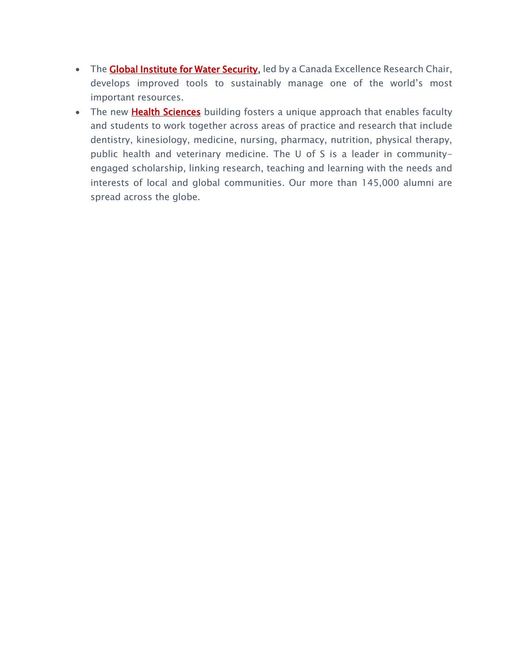- The **Global Institute for Water Security**, led by a Canada Excellence Research Chair, develops improved tools to sustainably manage one of the world's most important resources.
- The new **Health Sciences** building fosters a unique approach that enables faculty and students to work together across areas of practice and research that include dentistry, kinesiology, medicine, nursing, pharmacy, nutrition, physical therapy, public health and veterinary medicine. The U of S is a leader in communityengaged scholarship, linking research, teaching and learning with the needs and interests of local and global communities. Our more than 145,000 alumni are spread across the globe.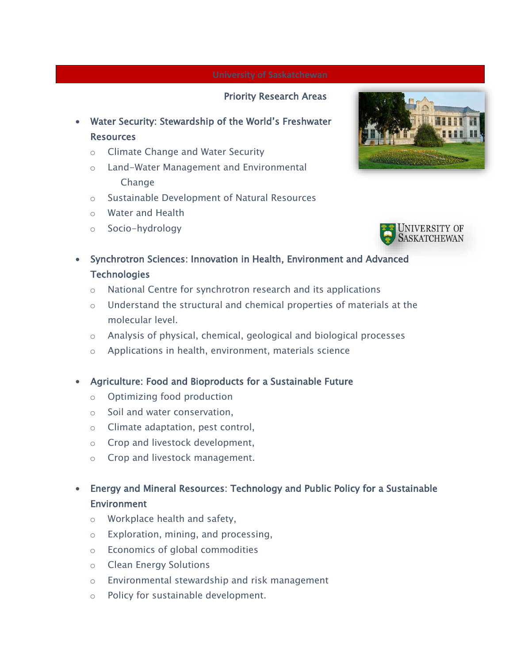### Priority Research Areas

- Water Security: Stewardship of the World's Freshwater Resources
	- o Climate Change and Water Security
	- o Land-Water Management and Environmental Change
	- o Sustainable Development of Natural Resources
	- o Water and Health
	- o Socio-hydrology





- Synchrotron Sciences: Innovation in Health, Environment and Advanced Technologies
	- o National Centre for synchrotron research and its applications
	- o Understand the structural and chemical properties of materials at the molecular level.
	- o Analysis of physical, chemical, geological and biological processes
	- o Applications in health, environment, materials science
- Agriculture: Food and Bioproducts for a Sustainable Future
	- o Optimizing food production
	- o Soil and water conservation,
	- o Climate adaptation, pest control,
	- o Crop and livestock development,
	- o Crop and livestock management.

## Energy and Mineral Resources: Technology and Public Policy for a Sustainable **Environment**

- o Workplace health and safety,
- o Exploration, mining, and processing,
- o Economics of global commodities
- o Clean Energy Solutions
- o Environmental stewardship and risk management
- o Policy for sustainable development.